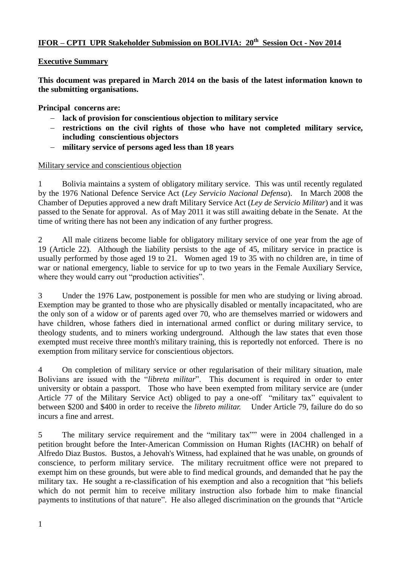## **IFOR – CPTI UPR Stakeholder Submission on BOLIVIA: 20th Session Oct - Nov 2014**

#### **Executive Summary**

**This document was prepared in March 2014 on the basis of the latest information known to the submitting organisations.** 

**Principal concerns are:**

- **lack of provision for conscientious objection to military service**
- **restrictions on the civil rights of those who have not completed military service, including conscientious objectors**
- **military service of persons aged less than 18 years**

#### Military service and conscientious objection

1 Bolivia maintains a system of obligatory military service. This was until recently regulated by the 1976 National Defence Service Act (*Ley Servicio Nacional Defensa*). In March 2008 the Chamber of Deputies approved a new draft Military Service Act (*Ley de Servicio Militar*) and it was passed to the Senate for approval. As of May 2011 it was still awaiting debate in the Senate. At the time of writing there has not been any indication of any further progress.

2 All male citizens become liable for obligatory military service of one year from the age of 19 (Article 22). Although the liability persists to the age of 45, military service in practice is usually performed by those aged 19 to 21. Women aged 19 to 35 with no children are, in time of war or national emergency, liable to service for up to two years in the Female Auxiliary Service, where they would carry out "production activities".

3 Under the 1976 Law, postponement is possible for men who are studying or living abroad. Exemption may be granted to those who are physically disabled or mentally incapacitated, who are the only son of a widow or of parents aged over 70, who are themselves married or widowers and have children, whose fathers died in international armed conflict or during military service, to theology students, and to miners working underground. Although the law states that even those exempted must receive three month's military training, this is reportedly not enforced. There is no exemption from military service for conscientious objectors.

4 On completion of military service or other regularisation of their military situation, male Bolivians are issued with the "*libreta militar*". This document is required in order to enter university or obtain a passport. Those who have been exempted from military service are (under Article 77 of the Military Service Act) obliged to pay a one-off "military tax" equivalent to between \$200 and \$400 in order to receive the *libreto militar.* Under Article 79, failure do do so incurs a fine and arrest.

5 The military service requirement and the "military tax"" were in 2004 challenged in a petition brought before the Inter-American Commission on Human Rights (IACHR) on behalf of Alfredo Diaz Bustos. Bustos, a Jehovah's Witness, had explained that he was unable, on grounds of conscience, to perform military service. The military recruitment office were not prepared to exempt him on these grounds, but were able to find medical grounds, and demanded that he pay the military tax. He sought a re-classification of his exemption and also a recognition that "his beliefs which do not permit him to receive military instruction also forbade him to make financial payments to institutions of that nature". He also alleged discrimination on the grounds that "Article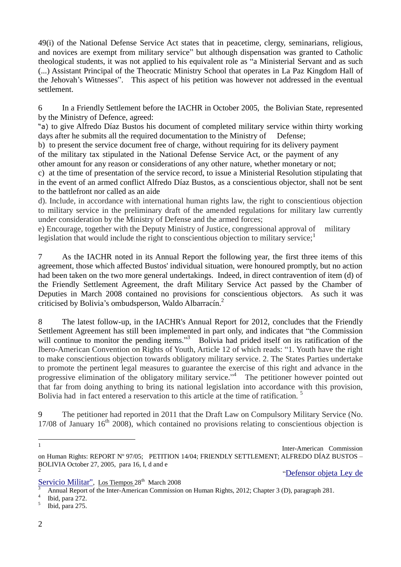49(i) of the National Defense Service Act states that in peacetime, clergy, seminarians, religious, and novices are exempt from military service" but although dispensation was granted to Catholic theological students, it was not applied to his equivalent role as "a Ministerial Servant and as such (...) Assistant Principal of the Theocratic Ministry School that operates in La Paz Kingdom Hall of the Jehovah's Witnesses". This aspect of his petition was however not addressed in the eventual settlement.

6 In a Friendly Settlement before the IACHR in October 2005, the Bolivian State, represented by the Ministry of Defence, agreed:

"a) to give Alfredo Díaz Bustos his document of completed military service within thirty working days after he submits all the required documentation to the Ministry of Defense;

b) to present the service document free of charge, without requiring for its delivery payment of the military tax stipulated in the National Defense Service Act, or the payment of any other amount for any reason or considerations of any other nature, whether monetary or not;

c) at the time of presentation of the service record, to issue a Ministerial Resolution stipulating that in the event of an armed conflict Alfredo Díaz Bustos, as a conscientious objector, shall not be sent to the battlefront nor called as an aide

d). Include, in accordance with international human rights law, the right to conscientious objection to military service in the preliminary draft of the amended regulations for military law currently under consideration by the Ministry of Defense and the armed forces;

e) Encourage, together with the Deputy Ministry of Justice, congressional approval of military legislation that would include the right to conscientious objection to military service; $<sup>1</sup>$ </sup>

7 As the IACHR noted in its Annual Report the following year, the first three items of this agreement, those which affected Bustos' individual situation, were honoured promptly, but no action had been taken on the two more general undertakings. Indeed, in direct contravention of item (d) of the Friendly Settlement Agreement, the draft Military Service Act passed by the Chamber of Deputies in March 2008 contained no provisions for conscientious objectors. As such it was criticised by Bolivia's ombudsperson, Waldo Albarracín.<sup>2</sup>

8 The latest follow-up, in the IACHR's Annual Report for 2012, concludes that the Friendly Settlement Agreement has still been implemented in part only, and indicates that "the Commission will continue to monitor the pending items."<sup>3</sup> Bolivia had prided itself on its ratification of the Ibero-American Convention on Rights of Youth, Article 12 of which reads: "1. Youth have the right to make conscientious objection towards obligatory military service. 2. The States Parties undertake to promote the pertinent legal measures to guarantee the exercise of this right and advance in the progressive elimination of the obligatory military service."<sup>4</sup> The petitioner however pointed out that far from doing anything to bring its national legislation into accordance with this provision, Bolivia had in fact entered a reservation to this article at the time of ratification.<sup>5</sup>

9 The petitioner had reported in 2011 that the Draft Law on Compulsory Military Service (No.  $17/08$  of January  $16<sup>th</sup>$  2008), which contained no provisions relating to conscientious objection is

"[Defensor](http://www.lostiempos.com/noticias/28-03-08/28_03_08_nac6.php) [objeta](http://www.lostiempos.com/noticias/28-03-08/28_03_08_nac6.php) [Ley](http://www.lostiempos.com/noticias/28-03-08/28_03_08_nac6.php) [de](http://www.lostiempos.com/noticias/28-03-08/28_03_08_nac6.php)

[Servicio](http://www.lostiempos.com/noticias/28-03-08/28_03_08_nac6.php) [Militar"](http://www.lostiempos.com/noticias/28-03-08/28_03_08_nac6.php), Los Tiempos 28<sup>th</sup> March 2008

 $\frac{1}{1}$ 

Inter-American Commission on Human Rights: REPORT Nº 97/05; PETITION 14/04; FRIENDLY SETTLEMENT; ALFREDO DÍAZ BUSTOS – BOLIVIA October 27, 2005, para 16, I, d and e 2

<sup>3</sup> Annual Report of the Inter-American Commission on Human Rights, 2012; Chapter 3 (D), paragraph 281.

<sup>4</sup> Ibid, para 272.

<sup>5</sup> Ibid, para 275.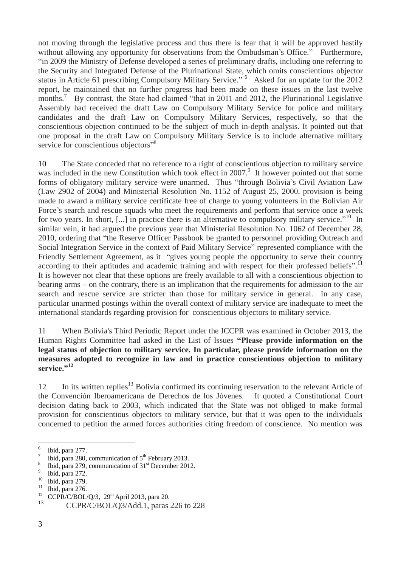not moving through the legislative process and thus there is fear that it will be approved hastily without allowing any opportunity for observations from the Ombudsman's Office." Furthermore, "in 2009 the Ministry of Defense developed a series of preliminary drafts, including one referring to the Security and Integrated Defense of the Plurinational State, which omits conscientious objector status in Article 61 prescribing Compulsory Military Service." <sup>6</sup> Asked for an update for the 2012 report, he maintained that no further progress had been made on these issues in the last twelve months.<sup>7</sup> By contrast, the State had claimed "that in 2011 and 2012, the Plurinational Legislative Assembly had received the draft Law on Compulsory Military Service for police and military candidates and the draft Law on Compulsory Military Services, respectively, so that the conscientious objection continued to be the subject of much in-depth analysis. It pointed out that one proposal in the draft Law on Compulsory Military Service is to include alternative military service for conscientious objectors"<sup>8</sup>

10 The State conceded that no reference to a right of conscientious objection to military service was included in the new Constitution which took effect in 2007.<sup>9</sup> It however pointed out that some forms of obligatory military service were unarmed. Thus "through Bolivia's Civil Aviation Law (Law 2902 of 2004) and Ministerial Resolution No. 1152 of August 25, 2000, provision is being made to award a military service certificate free of charge to young volunteers in the Bolivian Air Force's search and rescue squads who meet the requirements and perform that service once a week for two years. In short, [...] in practice there is an alternative to compulsory military service."<sup>10</sup> In similar vein, it had argued the previous year that Ministerial Resolution No. 1062 of December 28, 2010, ordering that "the Reserve Officer Passbook be granted to personnel providing Outreach and Social Integration Service in the context of Paid Military Service" represented compliance with the Friendly Settlement Agreement, as it "gives young people the opportunity to serve their country according to their aptitudes and academic training and with respect for their professed beliefs".<sup>11</sup> It is however not clear that these options are freely available to all with a conscientious objection to bearing arms – on the contrary, there is an implication that the requirements for admission to the air search and rescue service are stricter than those for military service in general. In any case, particular unarmed postings within the overall context of military service are inadequate to meet the international standards regarding provision for conscientious objectors to military service.

11 When Bolivia's Third Periodic Report under the ICCPR was examined in October 2013, the Human Rights Committee had asked in the List of Issues **"Please provide information on the legal status of objection to military service. In particular, please provide information on the measures adopted to recognize in law and in practice conscientious objection to military**  service."<sup>12</sup>

12 In its written replies<sup>13</sup> Bolivia confirmed its continuing reservation to the relevant Article of the Convención Iberoamericana de Derechos de los Jóvenes. It quoted a Constitutional Court decision dating back to 2003, which indicated that the State was not obliged to make formal provision for conscientious objectors to military service, but that it was open to the individuals concerned to petition the armed forces authorities citing freedom of conscience. No mention was

 $\overline{a}$ 

<sup>6</sup> Ibid, para 277.

<sup>7</sup> Ibid, para 280, communication of  $5<sup>th</sup>$  February 2013.

<sup>8</sup> Ibid, para 279, communication of 31<sup>st</sup> December 2012.

<sup>9</sup> Ibid, para 272.

 $\frac{10}{11}$  Ibid, para 279.

 $\frac{11}{12}$  Ibid, para 276.

CCPR/C/BOL/Q/3,  $29<sup>th</sup>$  April 2013, para 20. 13

CCPR/C/BOL/Q3/Add.1, paras 226 to 228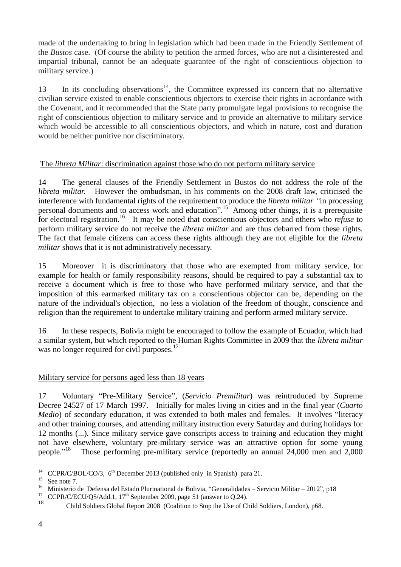made of the undertaking to bring in legislation which had been made in the Friendly Settlement of the *Bustos* case.(Of course the ability to petition the armed forces, who are not a disinterested and impartial tribunal, cannot be an adequate guarantee of the right of conscientious objection to military service.)

13 In its concluding observations<sup>14</sup>, the Committee expressed its concern that no alternative civilian service existed to enable conscientious objectors to exercise their rights in accordance with the Covenant, and it recommended that the State party promulgate legal provisions to recognise the right of conscientious objection to military service and to provide an alternative to military service which would be accessible to all conscientious objectors, and which in nature, cost and duration would be neither punitive nor discriminatory.

### The *libreta Militar*: discrimination against those who do not perform military service

14 The general clauses of the Friendly Settlement in Bustos do not address the role of the *libreta militar.* However the ombudsman, in his comments on the 2008 draft law, criticised the interference with fundamental rights of the requirement to produce the *libreta militar "*in processing personal documents and to access work and education".<sup>15</sup> Among other things, it is a prerequisite for electoral registration.<sup>16</sup> It may be noted that conscientious objectors and others who *refuse* to perform military service do not receive the *libreta militar* and are thus debarred from these rights. The fact that female citizens can access these rights although they are not eligible for the *libreta militar* shows that it is not administratively necessary.

15 Moreover it is discriminatory that those who are exempted from military service, for example for health or family responsibility reasons, should be required to pay a substantial tax to receive a document which is free to those who have performed military service, and that the imposition of this earmarked military tax on a conscientious objector can be, depending on the nature of the individual's objection, no less a violation of the freedom of thought, conscience and religion than the requirement to undertake military training and perform armed military service.

16 In these respects, Bolivia might be encouraged to follow the example of Ecuador, which had a similar system, but which reported to the Human Rights Committee in 2009 that the *libreta militar*  was no longer required for civil purposes.<sup>17</sup>

# Military service for persons aged less than 18 years

17 Voluntary "Pre-Military Service", (*Servicio Premilitar*) was reintroduced by Supreme Decree 24527 of 17 March 1997. Initially for males living in cities and in the final year (*Cuarto Medio*) of secondary education, it was extended to both males and females. It involves "literacy and other training courses, and attending military instruction every Saturday and during holidays for 12 months (...). Since military service gave conscripts access to training and education they might not have elsewhere, voluntary pre-military service was an attractive option for some young people."<sup>18</sup> Those performing pre-military service (reportedly an annual 24,000 men and 2,000

 $14$ <sup>14</sup> CCPR/C/BOL/CO/3,  $6<sup>th</sup>$  December 2013 (published only in Spanish) para 21.

 $\frac{15}{16}$  See note 7.

<sup>&</sup>lt;sup>16</sup> Ministerio de Defensa del Estado Plurinational de Bolivia, "Generalidades – Servicio Militar – 2012", p18<br><sup>17</sup> CCDP/C/ECU/O5/Add 1, 17<sup>th</sup> September 2000, pego 51 (apquento O.24)

CCPR/C/ECU/Q5/Add.1,  $17<sup>th</sup>$  September 2009, page 51 (answer to Q.24).

<sup>18</sup> Child Soldiers Global Report 2008 (Coalition to Stop the Use of Child Soldiers, London), p68.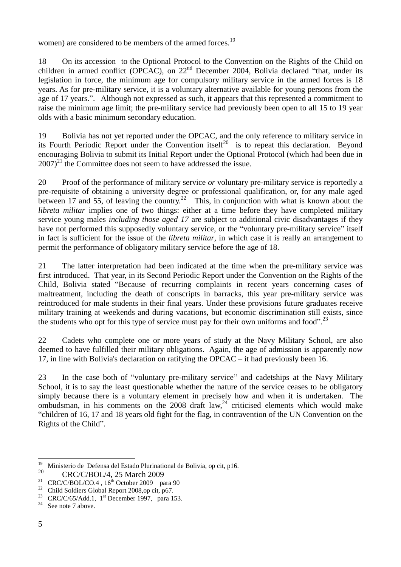women) are considered to be members of the armed forces.<sup>19</sup>

18 On its accession to the Optional Protocol to the Convention on the Rights of the Child on children in armed conflict (OPCAC), on  $22<sup>nd</sup>$  December 2004, Bolivia declared "that, under its legislation in force, the minimum age for compulsory military service in the armed forces is 18 years. As for pre-military service, it is a voluntary alternative available for young persons from the age of 17 years.". Although not expressed as such, it appears that this represented a commitment to raise the minimum age limit; the pre-military service had previously been open to all 15 to 19 year olds with a basic minimum secondary education.

19 Bolivia has not yet reported under the OPCAC, and the only reference to military service in its Fourth Periodic Report under the Convention itself<sup>20</sup> is to repeat this declaration. Beyond encouraging Bolivia to submit its Initial Report under the Optional Protocol (which had been due in  $2007$ <sup>21</sup> the Committee does not seem to have addressed the issue.

20 Proof of the performance of military service *or* voluntary pre-military service is reportedly a pre-requisite of obtaining a university degree or professional qualification, or, for any male aged between 17 and 55, of leaving the country.<sup>22</sup> This, in conjunction with what is known about the *libreta militar* implies one of two things: either at a time before they have completed military service young males *including those aged 17* are subject to additional civic disadvantages if they have not performed this supposedly voluntary service, or the "voluntary pre-military service" itself in fact is sufficient for the issue of the *libreta militar*, in which case it is really an arrangement to permit the performance of obligatory military service before the age of 18.

21 The latter interpretation had been indicated at the time when the pre-military service was first introduced. That year, in its Second Periodic Report under the Convention on the Rights of the Child, Bolivia stated "Because of recurring complaints in recent years concerning cases of maltreatment, including the death of conscripts in barracks, this year pre-military service was reintroduced for male students in their final years. Under these provisions future graduates receive military training at weekends and during vacations, but economic discrimination still exists, since the students who opt for this type of service must pay for their own uniforms and food".<sup>23</sup>

22 Cadets who complete one or more years of study at the Navy Military School, are also deemed to have fulfilled their military obligations. Again, the age of admission is apparently now 17, in line with Bolivia's declaration on ratifying the OPCAC – it had previously been 16.

23 In the case both of "voluntary pre-military service" and cadetships at the Navy Military School, it is to say the least questionable whether the nature of the service ceases to be obligatory simply because there is a voluntary element in precisely how and when it is undertaken. The ombudsman, in his comments on the 2008 draft  $law<sub>,24</sub>$  criticised elements which would make "children of 16, 17 and 18 years old fight for the flag, in contravention of the UN Convention on the Rights of the Child".

<sup>19</sup> <sup>19</sup> Ministerio de Defensa del Estado Plurinational de Bolivia, op cit, p16.<br><sup>20</sup> CBC/C/POL/4, 25 Morob 2000.

<sup>&</sup>lt;sup>20</sup> CRC/C/BOL/4, 25 March 2009

<sup>&</sup>lt;sup>21</sup> CRC/C/BOL/CO.4,  $16^{th}$  October 2009 para 90<br><sup>22</sup> Child Saldian Clabal Danast 2009 an ait p.67

<sup>22</sup> Child Soldiers Global Report 2008,op cit, p67.

 $23$  CRC/C/65/Add.1, 1<sup>st</sup> December 1997, para 153.

<sup>&</sup>lt;sup>24</sup> See note 7 above.